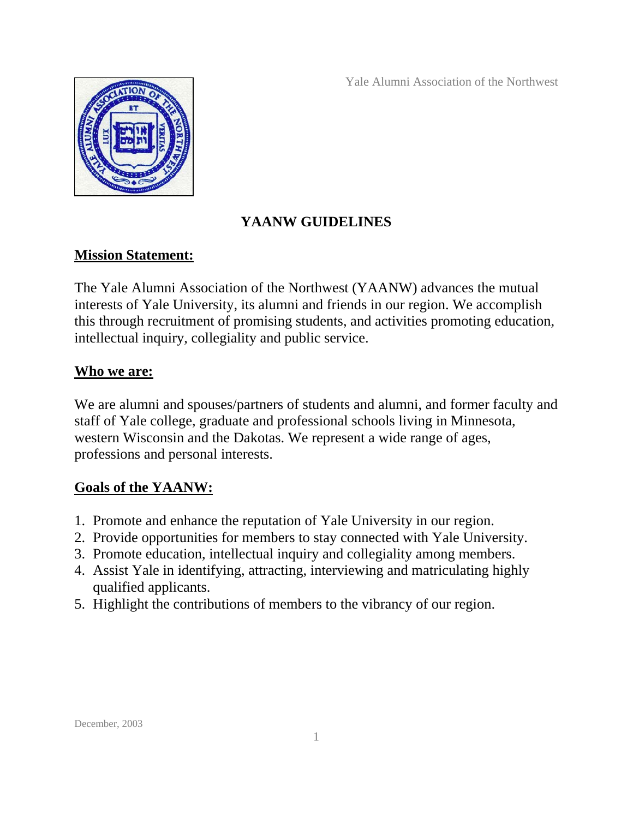Yale Alumni Association of the Northwest



# **YAANW GUIDELINES**

# **Mission Statement:**

The Yale Alumni Association of the Northwest (YAANW) advances the mutual interests of Yale University, its alumni and friends in our region. We accomplish this through recruitment of promising students, and activities promoting education, intellectual inquiry, collegiality and public service.

# **Who we are:**

We are alumni and spouses/partners of students and alumni, and former faculty and staff of Yale college, graduate and professional schools living in Minnesota, western Wisconsin and the Dakotas. We represent a wide range of ages, professions and personal interests.

# **Goals of the YAANW:**

- 1. Promote and enhance the reputation of Yale University in our region.
- 2. Provide opportunities for members to stay connected with Yale University.
- 3. Promote education, intellectual inquiry and collegiality among members.
- 4. Assist Yale in identifying, attracting, interviewing and matriculating highly qualified applicants.
- 5. Highlight the contributions of members to the vibrancy of our region.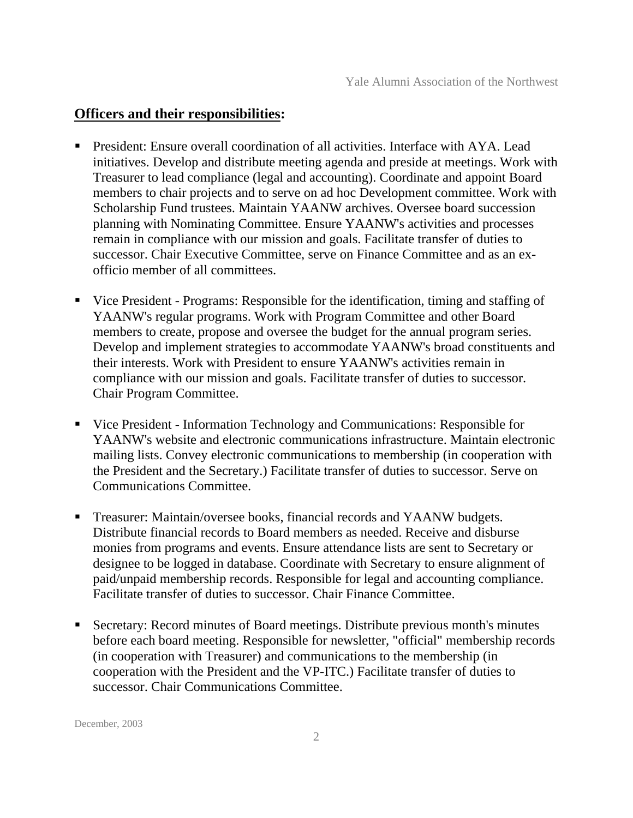#### **Officers and their responsibilities:**

- President: Ensure overall coordination of all activities. Interface with AYA. Lead initiatives. Develop and distribute meeting agenda and preside at meetings. Work with Treasurer to lead compliance (legal and accounting). Coordinate and appoint Board members to chair projects and to serve on ad hoc Development committee. Work with Scholarship Fund trustees. Maintain YAANW archives. Oversee board succession planning with Nominating Committee. Ensure YAANW's activities and processes remain in compliance with our mission and goals. Facilitate transfer of duties to successor. Chair Executive Committee, serve on Finance Committee and as an exofficio member of all committees.
- Vice President Programs: Responsible for the identification, timing and staffing of YAANW's regular programs. Work with Program Committee and other Board members to create, propose and oversee the budget for the annual program series. Develop and implement strategies to accommodate YAANW's broad constituents and their interests. Work with President to ensure YAANW's activities remain in compliance with our mission and goals. Facilitate transfer of duties to successor. Chair Program Committee.
- Vice President Information Technology and Communications: Responsible for YAANW's website and electronic communications infrastructure. Maintain electronic mailing lists. Convey electronic communications to membership (in cooperation with the President and the Secretary.) Facilitate transfer of duties to successor. Serve on Communications Committee.
- Treasurer: Maintain/oversee books, financial records and YAANW budgets. Distribute financial records to Board members as needed. Receive and disburse monies from programs and events. Ensure attendance lists are sent to Secretary or designee to be logged in database. Coordinate with Secretary to ensure alignment of paid/unpaid membership records. Responsible for legal and accounting compliance. Facilitate transfer of duties to successor. Chair Finance Committee.
- Secretary: Record minutes of Board meetings. Distribute previous month's minutes before each board meeting. Responsible for newsletter, "official" membership records (in cooperation with Treasurer) and communications to the membership (in cooperation with the President and the VP-ITC.) Facilitate transfer of duties to successor. Chair Communications Committee.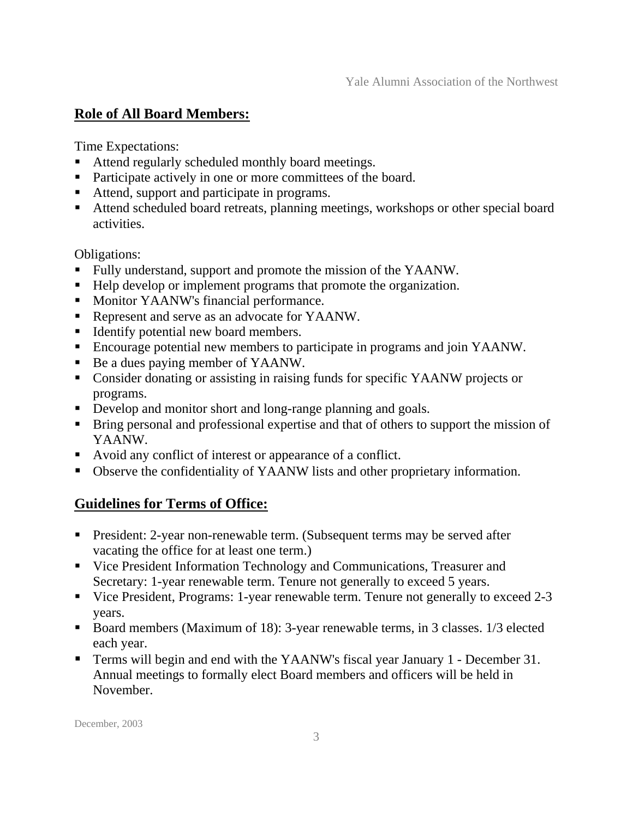### **Role of All Board Members:**

Time Expectations:

- Attend regularly scheduled monthly board meetings.
- Participate actively in one or more committees of the board.
- Attend, support and participate in programs.
- Attend scheduled board retreats, planning meetings, workshops or other special board activities.

Obligations:

- Fully understand, support and promote the mission of the YAANW.
- Help develop or implement programs that promote the organization.
- **Monitor YAANW's financial performance.**
- Represent and serve as an advocate for YAANW.
- Identify potential new board members.
- Encourage potential new members to participate in programs and join YAANW.
- Be a dues paying member of YAANW.
- Consider donating or assisting in raising funds for specific YAANW projects or programs.
- Develop and monitor short and long-range planning and goals.
- **Bring personal and professional expertise and that of others to support the mission of** YAANW.
- Avoid any conflict of interest or appearance of a conflict.
- Observe the confidentiality of YAANW lists and other proprietary information.

### **Guidelines for Terms of Office:**

- **President: 2-year non-renewable term. (Subsequent terms may be served after** vacating the office for at least one term.)
- Vice President Information Technology and Communications, Treasurer and Secretary: 1-year renewable term. Tenure not generally to exceed 5 years.
- Vice President, Programs: 1-year renewable term. Tenure not generally to exceed 2-3 years.
- Board members (Maximum of 18): 3-year renewable terms, in 3 classes. 1/3 elected each year.
- Terms will begin and end with the YAANW's fiscal year January 1 December 31. Annual meetings to formally elect Board members and officers will be held in November.

December, 2003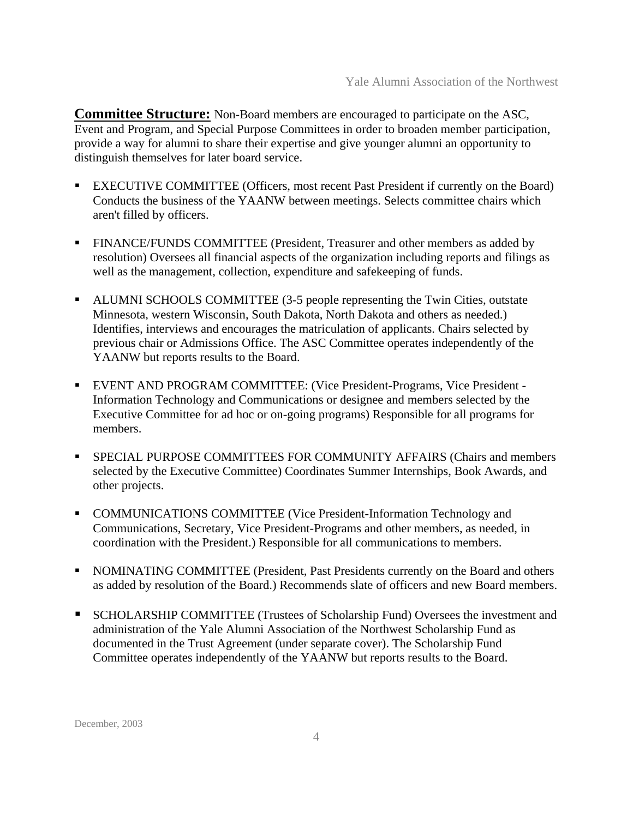**Committee Structure:** Non-Board members are encouraged to participate on the ASC, Event and Program, and Special Purpose Committees in order to broaden member participation, provide a way for alumni to share their expertise and give younger alumni an opportunity to distinguish themselves for later board service.

- EXECUTIVE COMMITTEE (Officers, most recent Past President if currently on the Board) Conducts the business of the YAANW between meetings. Selects committee chairs which aren't filled by officers.
- FINANCE/FUNDS COMMITTEE (President, Treasurer and other members as added by resolution) Oversees all financial aspects of the organization including reports and filings as well as the management, collection, expenditure and safekeeping of funds.
- ALUMNI SCHOOLS COMMITTEE (3-5 people representing the Twin Cities, outstate Minnesota, western Wisconsin, South Dakota, North Dakota and others as needed.) Identifies, interviews and encourages the matriculation of applicants. Chairs selected by previous chair or Admissions Office. The ASC Committee operates independently of the YAANW but reports results to the Board.
- EVENT AND PROGRAM COMMITTEE: (Vice President-Programs, Vice President Information Technology and Communications or designee and members selected by the Executive Committee for ad hoc or on-going programs) Responsible for all programs for members.
- SPECIAL PURPOSE COMMITTEES FOR COMMUNITY AFFAIRS (Chairs and members selected by the Executive Committee) Coordinates Summer Internships, Book Awards, and other projects.
- COMMUNICATIONS COMMITTEE (Vice President-Information Technology and Communications, Secretary, Vice President-Programs and other members, as needed, in coordination with the President.) Responsible for all communications to members.
- NOMINATING COMMITTEE (President, Past Presidents currently on the Board and others as added by resolution of the Board.) Recommends slate of officers and new Board members.
- SCHOLARSHIP COMMITTEE (Trustees of Scholarship Fund) Oversees the investment and administration of the Yale Alumni Association of the Northwest Scholarship Fund as documented in the Trust Agreement (under separate cover). The Scholarship Fund Committee operates independently of the YAANW but reports results to the Board.